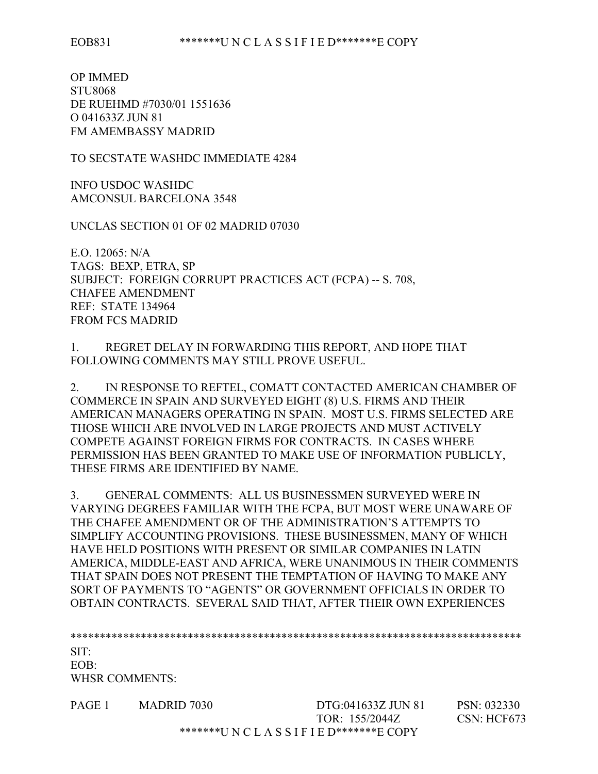OP IMMED STU8068 DE RUEHMD #7030/01 1551636 O 041633Z JUN 81 FM AMEMBASSY MADRID

TO SECSTATE WASHDC IMMEDIATE 4284

INFO USDOC WASHDC AMCONSUL BARCELONA 3548

UNCLAS SECTION 01 OF 02 MADRID 07030

E.O. 12065: N/A TAGS: BEXP, ETRA, SP SUBJECT: FOREIGN CORRUPT PRACTICES ACT (FCPA) -- S. 708, CHAFEE AMENDMENT REF: STATE 134964 FROM FCS MADRID

1. REGRET DELAY IN FORWARDING THIS REPORT, AND HOPE THAT FOLLOWING COMMENTS MAY STILL PROVE USEFUL.

2. IN RESPONSE TO REFTEL, COMATT CONTACTED AMERICAN CHAMBER OF COMMERCE IN SPAIN AND SURVEYED EIGHT (8) U.S. FIRMS AND THEIR AMERICAN MANAGERS OPERATING IN SPAIN. MOST U.S. FIRMS SELECTED ARE THOSE WHICH ARE INVOLVED IN LARGE PROJECTS AND MUST ACTIVELY COMPETE AGAINST FOREIGN FIRMS FOR CONTRACTS. IN CASES WHERE PERMISSION HAS BEEN GRANTED TO MAKE USE OF INFORMATION PUBLICLY, THESE FIRMS ARE IDENTIFIED BY NAME.

3. GENERAL COMMENTS: ALL US BUSINESSMEN SURVEYED WERE IN VARYING DEGREES FAMILIAR WITH THE FCPA, BUT MOST WERE UNAWARE OF THE CHAFEE AMENDMENT OR OF THE ADMINISTRATION'S ATTEMPTS TO SIMPLIFY ACCOUNTING PROVISIONS. THESE BUSINESSMEN, MANY OF WHICH HAVE HELD POSITIONS WITH PRESENT OR SIMILAR COMPANIES IN LATIN AMERICA, MIDDLE-EAST AND AFRICA, WERE UNANIMOUS IN THEIR COMMENTS THAT SPAIN DOES NOT PRESENT THE TEMPTATION OF HAVING TO MAKE ANY SORT OF PAYMENTS TO "AGENTS" OR GOVERNMENT OFFICIALS IN ORDER TO OBTAIN CONTRACTS. SEVERAL SAID THAT, AFTER THEIR OWN EXPERIENCES

\*\*\*\*\*\*\*\*\*\*\*\*\*\*\*\*\*\*\*\*\*\*\*\*\*\*\*\*\*\*\*\*\*\*\*\*\*\*\*\*\*\*\*\*\*\*\*\*\*\*\*\*\*\*\*\*\*\*\*\*\*\*\*\*\*\*\*\*\*\*\*\*\*\*\*\*\* SIT: EOB: WHSR COMMENTS:

PAGE 1 MADRID 7030 DTG:041633Z JUN 81 PSN: 032330 TOR: 155/2044Z CSN: HCF673 \*\*\*\*\*\*\*U N C L A S S I F I E D\*\*\*\*\*\*\*E COPY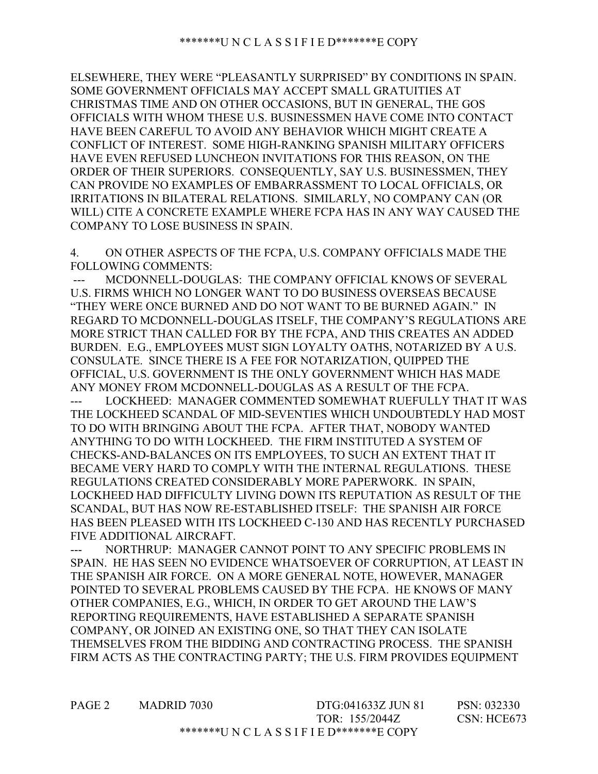ELSEWHERE, THEY WERE "PLEASANTLY SURPRISED" BY CONDITIONS IN SPAIN. SOME GOVERNMENT OFFICIALS MAY ACCEPT SMALL GRATUITIES AT CHRISTMAS TIME AND ON OTHER OCCASIONS, BUT IN GENERAL, THE GOS OFFICIALS WITH WHOM THESE U.S. BUSINESSMEN HAVE COME INTO CONTACT HAVE BEEN CAREFUL TO AVOID ANY BEHAVIOR WHICH MIGHT CREATE A CONFLICT OF INTEREST. SOME HIGH-RANKING SPANISH MILITARY OFFICERS HAVE EVEN REFUSED LUNCHEON INVITATIONS FOR THIS REASON, ON THE ORDER OF THEIR SUPERIORS. CONSEQUENTLY, SAY U.S. BUSINESSMEN, THEY CAN PROVIDE NO EXAMPLES OF EMBARRASSMENT TO LOCAL OFFICIALS, OR IRRITATIONS IN BILATERAL RELATIONS. SIMILARLY, NO COMPANY CAN (OR WILL) CITE A CONCRETE EXAMPLE WHERE FCPA HAS IN ANY WAY CAUSED THE COMPANY TO LOSE BUSINESS IN SPAIN.

4. ON OTHER ASPECTS OF THE FCPA, U.S. COMPANY OFFICIALS MADE THE FOLLOWING COMMENTS:

MCDONNELL-DOUGLAS: THE COMPANY OFFICIAL KNOWS OF SEVERAL U.S. FIRMS WHICH NO LONGER WANT TO DO BUSINESS OVERSEAS BECAUSE "THEY WERE ONCE BURNED AND DO NOT WANT TO BE BURNED AGAIN." IN REGARD TO MCDONNELL-DOUGLAS ITSELF, THE COMPANY'S REGULATIONS ARE MORE STRICT THAN CALLED FOR BY THE FCPA, AND THIS CREATES AN ADDED BURDEN. E.G., EMPLOYEES MUST SIGN LOYALTY OATHS, NOTARIZED BY A U.S. CONSULATE. SINCE THERE IS A FEE FOR NOTARIZATION, QUIPPED THE OFFICIAL, U.S. GOVERNMENT IS THE ONLY GOVERNMENT WHICH HAS MADE ANY MONEY FROM MCDONNELL-DOUGLAS AS A RESULT OF THE FCPA.

LOCKHEED: MANAGER COMMENTED SOMEWHAT RUEFULLY THAT IT WAS THE LOCKHEED SCANDAL OF MID-SEVENTIES WHICH UNDOUBTEDLY HAD MOST TO DO WITH BRINGING ABOUT THE FCPA. AFTER THAT, NOBODY WANTED ANYTHING TO DO WITH LOCKHEED. THE FIRM INSTITUTED A SYSTEM OF CHECKS-AND-BALANCES ON ITS EMPLOYEES, TO SUCH AN EXTENT THAT IT BECAME VERY HARD TO COMPLY WITH THE INTERNAL REGULATIONS. THESE REGULATIONS CREATED CONSIDERABLY MORE PAPERWORK. IN SPAIN, LOCKHEED HAD DIFFICULTY LIVING DOWN ITS REPUTATION AS RESULT OF THE SCANDAL, BUT HAS NOW RE-ESTABLISHED ITSELF: THE SPANISH AIR FORCE HAS BEEN PLEASED WITH ITS LOCKHEED C-130 AND HAS RECENTLY PURCHASED FIVE ADDITIONAL AIRCRAFT.

--- NORTHRUP: MANAGER CANNOT POINT TO ANY SPECIFIC PROBLEMS IN SPAIN. HE HAS SEEN NO EVIDENCE WHATSOEVER OF CORRUPTION, AT LEAST IN THE SPANISH AIR FORCE. ON A MORE GENERAL NOTE, HOWEVER, MANAGER POINTED TO SEVERAL PROBLEMS CAUSED BY THE FCPA. HE KNOWS OF MANY OTHER COMPANIES, E.G., WHICH, IN ORDER TO GET AROUND THE LAW'S REPORTING REQUIREMENTS, HAVE ESTABLISHED A SEPARATE SPANISH COMPANY, OR JOINED AN EXISTING ONE, SO THAT THEY CAN ISOLATE THEMSELVES FROM THE BIDDING AND CONTRACTING PROCESS. THE SPANISH FIRM ACTS AS THE CONTRACTING PARTY; THE U.S. FIRM PROVIDES EQUIPMENT

PAGE 2 MADRID 7030 DTG:041633Z JUN 81 PSN: 032330 TOR: 155/2044Z CSN: HCE673 \*\*\*\*\*\*\*U N C L A S S I F I E D\*\*\*\*\*\*\*E COPY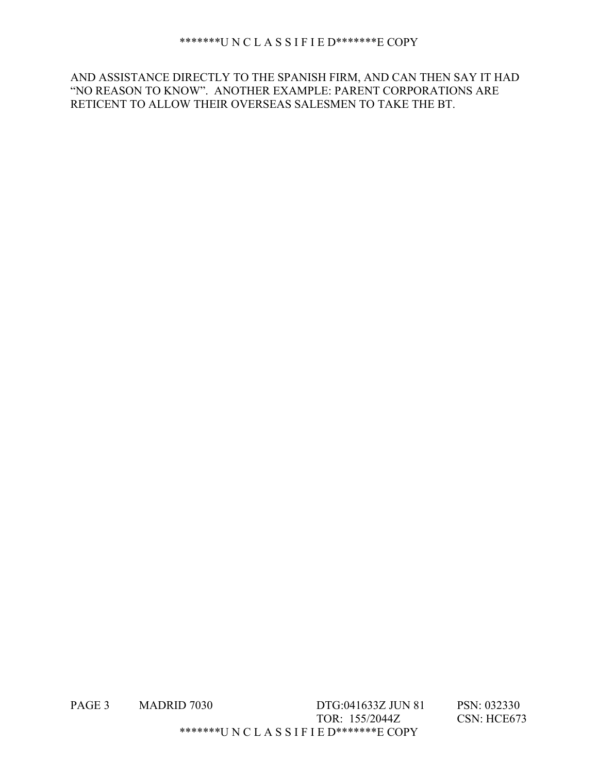## \*\*\*\*\*\*\*U N C L A S S I F I E D\*\*\*\*\*\*\*E COPY

AND ASSISTANCE DIRECTLY TO THE SPANISH FIRM, AND CAN THEN SAY IT HAD "NO REASON TO KNOW". ANOTHER EXAMPLE: PARENT CORPORATIONS ARE RETICENT TO ALLOW THEIR OVERSEAS SALESMEN TO TAKE THE BT.